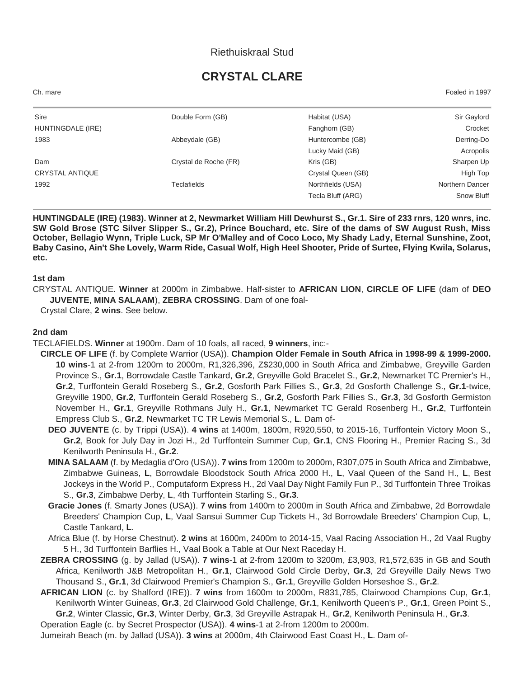### Riethuiskraal Stud

# **CRYSTAL CLARE**

Ch. mare Foaled in 1997

| Sire                   | Double Form (GB)      | Habitat (USA)      | Sir Gaylord     |
|------------------------|-----------------------|--------------------|-----------------|
| HUNTINGDALE (IRE)      |                       | Fanghorn (GB)      | Crocket         |
| 1983                   | Abbeydale (GB)        | Huntercombe (GB)   | Derring-Do      |
|                        |                       | Lucky Maid (GB)    | Acropolis       |
| Dam                    | Crystal de Roche (FR) | Kris (GB)          | Sharpen Up      |
| <b>CRYSTAL ANTIQUE</b> |                       | Crystal Queen (GB) | High Top        |
| 1992                   | Teclafields           | Northfields (USA)  | Northern Dancer |
|                        |                       | Tecla Bluff (ARG)  | Snow Bluff      |
|                        |                       |                    |                 |

**HUNTINGDALE (IRE) (1983). Winner at 2, Newmarket William Hill Dewhurst S., Gr.1. Sire of 233 rnrs, 120 wnrs, inc. SW Gold Brose (STC Silver Slipper S., Gr.2), Prince Bouchard, etc. Sire of the dams of SW August Rush, Miss October, Bellagio Wynn, Triple Luck, SP Mr O'Malley and of Coco Loco, My Shady Lady, Eternal Sunshine, Zoot, Baby Casino, Ain't She Lovely, Warm Ride, Casual Wolf, High Heel Shooter, Pride of Surtee, Flying Kwila, Solarus, etc.**

#### **1st dam**

CRYSTAL ANTIQUE. **Winner** at 2000m in Zimbabwe. Half-sister to **AFRICAN LION**, **CIRCLE OF LIFE** (dam of **DEO JUVENTE**, **MINA SALAAM**), **ZEBRA CROSSING**. Dam of one foal-

Crystal Clare, **2 wins**. See below.

#### **2nd dam**

TECLAFIELDS. **Winner** at 1900m. Dam of 10 foals, all raced, **9 winners**, inc:-

- **CIRCLE OF LIFE** (f. by Complete Warrior (USA)). **Champion Older Female in South Africa in 1998-99 & 1999-2000. 10 wins**-1 at 2-from 1200m to 2000m, R1,326,396, Z\$230,000 in South Africa and Zimbabwe, Greyville Garden Province S., **Gr.1**, Borrowdale Castle Tankard, **Gr.2**, Greyville Gold Bracelet S., **Gr.2**, Newmarket TC Premier's H., **Gr.2**, Turffontein Gerald Roseberg S., **Gr.2**, Gosforth Park Fillies S., **Gr.3**, 2d Gosforth Challenge S., **Gr.1**-twice, Greyville 1900, **Gr.2**, Turffontein Gerald Roseberg S., **Gr.2**, Gosforth Park Fillies S., **Gr.3**, 3d Gosforth Germiston November H., **Gr.1**, Greyville Rothmans July H., **Gr.1**, Newmarket TC Gerald Rosenberg H., **Gr.2**, Turffontein Empress Club S., **Gr.2**, Newmarket TC TR Lewis Memorial S., **L**. Dam of-
	- **DEO JUVENTE** (c. by Trippi (USA)). **4 wins** at 1400m, 1800m, R920,550, to 2015-16, Turffontein Victory Moon S., **Gr.2**, Book for July Day in Jozi H., 2d Turffontein Summer Cup, **Gr.1**, CNS Flooring H., Premier Racing S., 3d Kenilworth Peninsula H., **Gr.2**.
	- **MINA SALAAM** (f. by Medaglia d'Oro (USA)). **7 wins** from 1200m to 2000m, R307,075 in South Africa and Zimbabwe, Zimbabwe Guineas, **L**, Borrowdale Bloodstock South Africa 2000 H., **L**, Vaal Queen of the Sand H., **L**, Best Jockeys in the World P., Computaform Express H., 2d Vaal Day Night Family Fun P., 3d Turffontein Three Troikas S., **Gr.3**, Zimbabwe Derby, **L**, 4th Turffontein Starling S., **Gr.3**.
	- **Gracie Jones** (f. Smarty Jones (USA)). **7 wins** from 1400m to 2000m in South Africa and Zimbabwe, 2d Borrowdale Breeders' Champion Cup, **L**, Vaal Sansui Summer Cup Tickets H., 3d Borrowdale Breeders' Champion Cup, **L**, Castle Tankard, **L**.
	- Africa Blue (f. by Horse Chestnut). **2 wins** at 1600m, 2400m to 2014-15, Vaal Racing Association H., 2d Vaal Rugby 5 H., 3d Turffontein Barflies H., Vaal Book a Table at Our Next Raceday H.
- **ZEBRA CROSSING** (g. by Jallad (USA)). **7 wins**-1 at 2-from 1200m to 3200m, £3,903, R1,572,635 in GB and South Africa, Kenilworth J&B Metropolitan H., **Gr.1**, Clairwood Gold Circle Derby, **Gr.3**, 2d Greyville Daily News Two Thousand S., **Gr.1**, 3d Clairwood Premier's Champion S., **Gr.1**, Greyville Golden Horseshoe S., **Gr.2**.
- **AFRICAN LION** (c. by Shalford (IRE)). **7 wins** from 1600m to 2000m, R831,785, Clairwood Champions Cup, **Gr.1**, Kenilworth Winter Guineas, **Gr.3**, 2d Clairwood Gold Challenge, **Gr.1**, Kenilworth Queen's P., **Gr.1**, Green Point S., **Gr.2**, Winter Classic, **Gr.3**, Winter Derby, **Gr.3**, 3d Greyville Astrapak H., **Gr.2**, Kenilworth Peninsula H., **Gr.3**.

Operation Eagle (c. by Secret Prospector (USA)). **4 wins**-1 at 2-from 1200m to 2000m.

Jumeirah Beach (m. by Jallad (USA)). **3 wins** at 2000m, 4th Clairwood East Coast H., **L**. Dam of-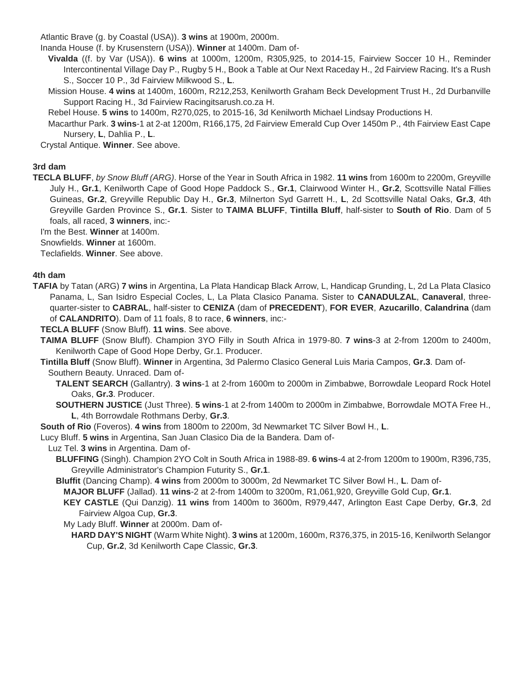Atlantic Brave (g. by Coastal (USA)). **3 wins** at 1900m, 2000m.

Inanda House (f. by Krusenstern (USA)). **Winner** at 1400m. Dam of-

**Vivalda** ((f. by Var (USA)). **6 wins** at 1000m, 1200m, R305,925, to 2014-15, Fairview Soccer 10 H., Reminder Intercontinental Village Day P., Rugby 5 H., Book a Table at Our Next Raceday H., 2d Fairview Racing. It's a Rush S., Soccer 10 P., 3d Fairview Milkwood S., **L**.

Mission House. **4 wins** at 1400m, 1600m, R212,253, Kenilworth Graham Beck Development Trust H., 2d Durbanville Support Racing H., 3d Fairview Racingitsarush.co.za H.

Rebel House. **5 wins** to 1400m, R270,025, to 2015-16, 3d Kenilworth Michael Lindsay Productions H.

Macarthur Park. **3 wins**-1 at 2-at 1200m, R166,175, 2d Fairview Emerald Cup Over 1450m P., 4th Fairview East Cape Nursery, **L**, Dahlia P., **L**.

Crystal Antique. **Winner**. See above.

### **3rd dam**

**TECLA BLUFF**, *by Snow Bluff (ARG)*. Horse of the Year in South Africa in 1982. **11 wins** from 1600m to 2200m, Greyville July H., **Gr.1**, Kenilworth Cape of Good Hope Paddock S., **Gr.1**, Clairwood Winter H., **Gr.2**, Scottsville Natal Fillies Guineas, **Gr.2**, Greyville Republic Day H., **Gr.3**, Milnerton Syd Garrett H., **L**, 2d Scottsville Natal Oaks, **Gr.3**, 4th Greyville Garden Province S., **Gr.1**. Sister to **TAIMA BLUFF**, **Tintilla Bluff**, half-sister to **South of Rio**. Dam of 5 foals, all raced, **3 winners**, inc:-

I'm the Best. **Winner** at 1400m.

Snowfields. **Winner** at 1600m.

Teclafields. **Winner**. See above.

#### **4th dam**

**TAFIA** by Tatan (ARG) **7 wins** in Argentina, La Plata Handicap Black Arrow, L, Handicap Grunding, L, 2d La Plata Clasico Panama, L, San Isidro Especial Cocles, L, La Plata Clasico Panama. Sister to **CANADULZAL**, **Canaveral**, threequarter-sister to **CABRAL**, half-sister to **CENIZA** (dam of **PRECEDENT**), **FOR EVER**, **Azucarillo**, **Calandrina** (dam of **CALANDRITO**). Dam of 11 foals, 8 to race, **6 winners**, inc:-

**TECLA BLUFF** (Snow Bluff). **11 wins**. See above.

**TAIMA BLUFF** (Snow Bluff). Champion 3YO Filly in South Africa in 1979-80. **7 wins**-3 at 2-from 1200m to 2400m, Kenilworth Cape of Good Hope Derby, Gr.1. Producer.

**Tintilla Bluff** (Snow Bluff). **Winner** in Argentina, 3d Palermo Clasico General Luis Maria Campos, **Gr.3**. Dam of-Southern Beauty. Unraced. Dam of-

**TALENT SEARCH** (Gallantry). **3 wins**-1 at 2-from 1600m to 2000m in Zimbabwe, Borrowdale Leopard Rock Hotel Oaks, **Gr.3**. Producer.

**SOUTHERN JUSTICE** (Just Three). **5 wins**-1 at 2-from 1400m to 2000m in Zimbabwe, Borrowdale MOTA Free H., **L**, 4th Borrowdale Rothmans Derby, **Gr.3**.

**South of Rio** (Foveros). **4 wins** from 1800m to 2200m, 3d Newmarket TC Silver Bowl H., **L**.

Lucy Bluff. **5 wins** in Argentina, San Juan Clasico Dia de la Bandera. Dam of-

Luz Tel. **3 wins** in Argentina. Dam of-

- **BLUFFING** (Singh). Champion 2YO Colt in South Africa in 1988-89. **6 wins**-4 at 2-from 1200m to 1900m, R396,735, Greyville Administrator's Champion Futurity S., **Gr.1**.
- **Bluffit** (Dancing Champ). **4 wins** from 2000m to 3000m, 2d Newmarket TC Silver Bowl H., **L**. Dam of-

**MAJOR BLUFF** (Jallad). **11 wins**-2 at 2-from 1400m to 3200m, R1,061,920, Greyville Gold Cup, **Gr.1**.

**KEY CASTLE** (Qui Danzig). **11 wins** from 1400m to 3600m, R979,447, Arlington East Cape Derby, **Gr.3**, 2d Fairview Algoa Cup, **Gr.3**.

My Lady Bluff. **Winner** at 2000m. Dam of-

**HARD DAY'S NIGHT** (Warm White Night). **3 wins** at 1200m, 1600m, R376,375, in 2015-16, Kenilworth Selangor Cup, **Gr.2**, 3d Kenilworth Cape Classic, **Gr.3**.